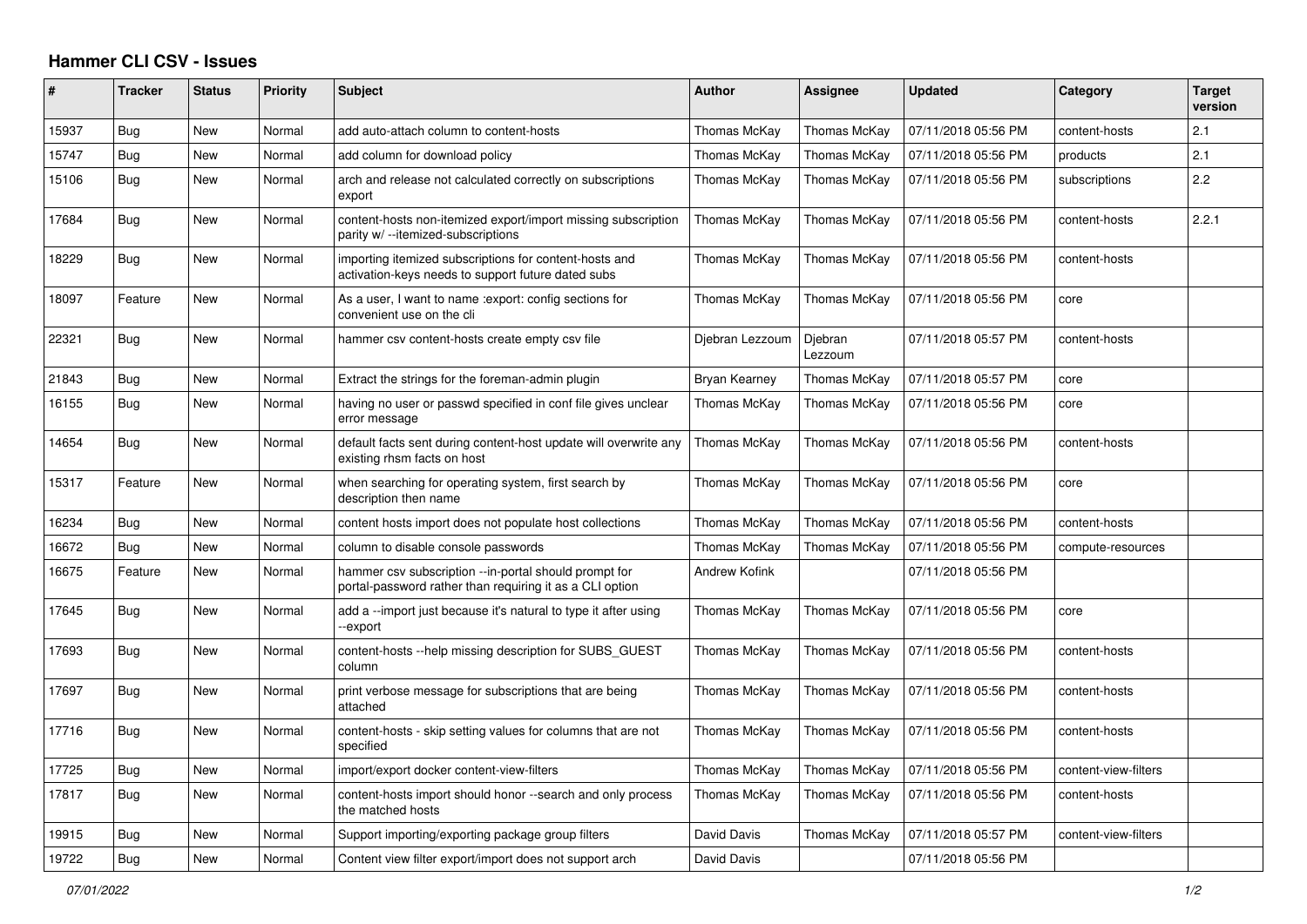## **Hammer CLI CSV - Issues**

| #     | <b>Tracker</b> | <b>Status</b> | <b>Priority</b> | <b>Subject</b>                                                                                                    | <b>Author</b>        | <b>Assignee</b>    | <b>Updated</b>      | Category             | <b>Target</b><br>version |
|-------|----------------|---------------|-----------------|-------------------------------------------------------------------------------------------------------------------|----------------------|--------------------|---------------------|----------------------|--------------------------|
| 15937 | Bug            | <b>New</b>    | Normal          | add auto-attach column to content-hosts                                                                           | Thomas McKay         | Thomas McKay       | 07/11/2018 05:56 PM | content-hosts        | 2.1                      |
| 15747 | Bug            | New           | Normal          | add column for download policy                                                                                    | Thomas McKay         | Thomas McKay       | 07/11/2018 05:56 PM | products             | 2.1                      |
| 15106 | Bug            | New           | Normal          | arch and release not calculated correctly on subscriptions<br>export                                              | Thomas McKay         | Thomas McKay       | 07/11/2018 05:56 PM | subscriptions        | 2.2                      |
| 17684 | Bug            | New           | Normal          | content-hosts non-itemized export/import missing subscription<br>parity w/ --itemized-subscriptions               | Thomas McKay         | Thomas McKay       | 07/11/2018 05:56 PM | content-hosts        | 2.2.1                    |
| 18229 | <b>Bug</b>     | New           | Normal          | importing itemized subscriptions for content-hosts and<br>activation-keys needs to support future dated subs      | Thomas McKay         | Thomas McKay       | 07/11/2018 05:56 PM | content-hosts        |                          |
| 18097 | Feature        | New           | Normal          | As a user, I want to name : export: config sections for<br>convenient use on the cli                              | Thomas McKay         | Thomas McKay       | 07/11/2018 05:56 PM | core                 |                          |
| 22321 | Bug            | New           | Normal          | hammer csv content-hosts create empty csv file                                                                    | Djebran Lezzoum      | Djebran<br>Lezzoum | 07/11/2018 05:57 PM | content-hosts        |                          |
| 21843 | Bug            | New           | Normal          | Extract the strings for the foreman-admin plugin                                                                  | Bryan Kearney        | Thomas McKay       | 07/11/2018 05:57 PM | core                 |                          |
| 16155 | Bug            | New           | Normal          | having no user or passwd specified in conf file gives unclear<br>error message                                    | Thomas McKay         | Thomas McKay       | 07/11/2018 05:56 PM | core                 |                          |
| 14654 | Bug            | <b>New</b>    | Normal          | default facts sent during content-host update will overwrite any<br>existing rhsm facts on host                   | Thomas McKay         | Thomas McKay       | 07/11/2018 05:56 PM | content-hosts        |                          |
| 15317 | Feature        | New           | Normal          | when searching for operating system, first search by<br>description then name                                     | Thomas McKay         | Thomas McKay       | 07/11/2018 05:56 PM | core                 |                          |
| 16234 | Bug            | New           | Normal          | content hosts import does not populate host collections                                                           | Thomas McKay         | Thomas McKay       | 07/11/2018 05:56 PM | content-hosts        |                          |
| 16672 | Bug            | New           | Normal          | column to disable console passwords                                                                               | Thomas McKay         | Thomas McKay       | 07/11/2018 05:56 PM | compute-resources    |                          |
| 16675 | Feature        | <b>New</b>    | Normal          | hammer csv subscription --in-portal should prompt for<br>portal-password rather than requiring it as a CLI option | <b>Andrew Kofink</b> |                    | 07/11/2018 05:56 PM |                      |                          |
| 17645 | Bug            | <b>New</b>    | Normal          | add a --import just because it's natural to type it after using<br>-export                                        | Thomas McKay         | Thomas McKay       | 07/11/2018 05:56 PM | core                 |                          |
| 17693 | Bug            | New           | Normal          | content-hosts --help missing description for SUBS_GUEST<br>column                                                 | Thomas McKay         | Thomas McKay       | 07/11/2018 05:56 PM | content-hosts        |                          |
| 17697 | Bug            | <b>New</b>    | Normal          | print verbose message for subscriptions that are being<br>attached                                                | Thomas McKay         | Thomas McKay       | 07/11/2018 05:56 PM | content-hosts        |                          |
| 17716 | Bug            | New           | Normal          | content-hosts - skip setting values for columns that are not<br>specified                                         | Thomas McKay         | Thomas McKay       | 07/11/2018 05:56 PM | content-hosts        |                          |
| 17725 | Bug            | New           | Normal          | import/export docker content-view-filters                                                                         | Thomas McKay         | Thomas McKay       | 07/11/2018 05:56 PM | content-view-filters |                          |
| 17817 | Bug            | New           | Normal          | content-hosts import should honor --search and only process<br>the matched hosts                                  | Thomas McKay         | Thomas McKay       | 07/11/2018 05:56 PM | content-hosts        |                          |
| 19915 | Bug            | New           | Normal          | Support importing/exporting package group filters                                                                 | David Davis          | Thomas McKay       | 07/11/2018 05:57 PM | content-view-filters |                          |
| 19722 | Bug            | New           | Normal          | Content view filter export/import does not support arch                                                           | David Davis          |                    | 07/11/2018 05:56 PM |                      |                          |